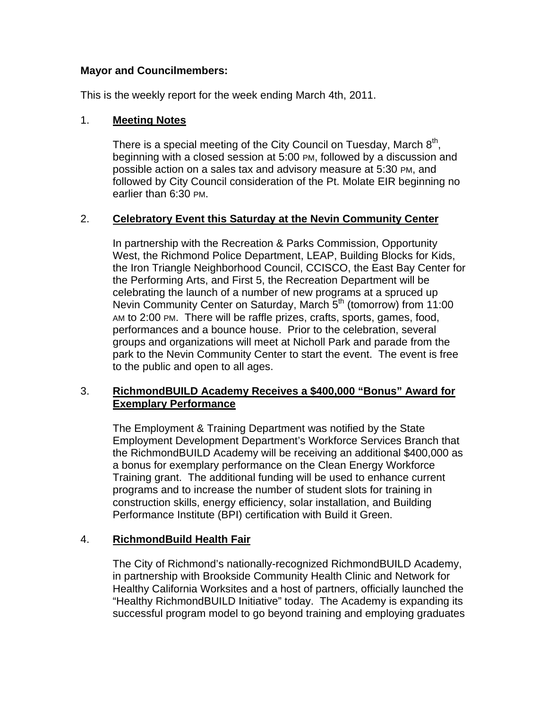# **Mayor and Councilmembers:**

This is the weekly report for the week ending March 4th, 2011.

# 1. **Meeting Notes**

There is a special meeting of the City Council on Tuesday, March  $8<sup>th</sup>$ , beginning with a closed session at 5:00 PM, followed by a discussion and possible action on a sales tax and advisory measure at 5:30 PM, and followed by City Council consideration of the Pt. Molate EIR beginning no earlier than 6:30 PM.

# 2. **Celebratory Event this Saturday at the Nevin Community Center**

In partnership with the Recreation & Parks Commission, Opportunity West, the Richmond Police Department, LEAP, Building Blocks for Kids, the Iron Triangle Neighborhood Council, CCISCO, the East Bay Center for the Performing Arts, and First 5, the Recreation Department will be celebrating the launch of a number of new programs at a spruced up Nevin Community Center on Saturday, March 5<sup>th</sup> (tomorrow) from 11:00 AM to 2:00 PM. There will be raffle prizes, crafts, sports, games, food, performances and a bounce house. Prior to the celebration, several groups and organizations will meet at Nicholl Park and parade from the park to the Nevin Community Center to start the event. The event is free to the public and open to all ages.

# 3. **RichmondBUILD Academy Receives a \$400,000 "Bonus" Award for Exemplary Performance**

The Employment & Training Department was notified by the State Employment Development Department's Workforce Services Branch that the RichmondBUILD Academy will be receiving an additional \$400,000 as a bonus for exemplary performance on the Clean Energy Workforce Training grant. The additional funding will be used to enhance current programs and to increase the number of student slots for training in construction skills, energy efficiency, solar installation, and Building Performance Institute (BPI) certification with Build it Green.

# 4. **RichmondBuild Health Fair**

The City of Richmond's nationally-recognized RichmondBUILD Academy, in partnership with Brookside Community Health Clinic and Network for Healthy California Worksites and a host of partners, officially launched the "Healthy RichmondBUILD Initiative" today. The Academy is expanding its successful program model to go beyond training and employing graduates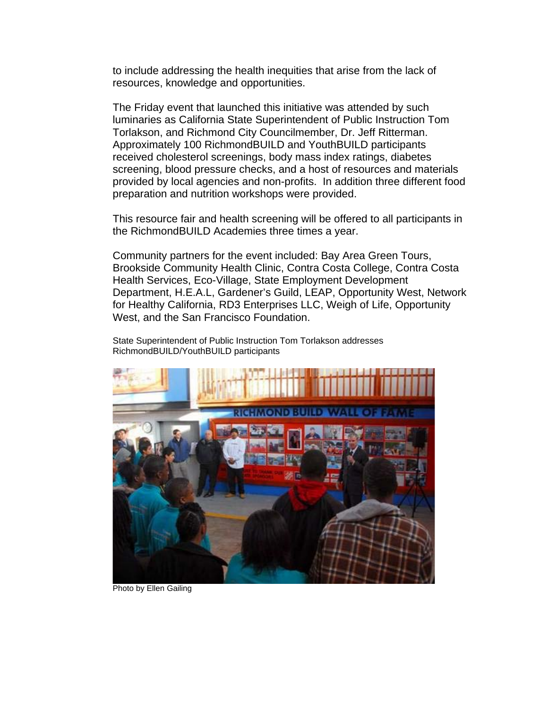to include addressing the health inequities that arise from the lack of resources, knowledge and opportunities.

The Friday event that launched this initiative was attended by such luminaries as California State Superintendent of Public Instruction Tom Torlakson, and Richmond City Councilmember, Dr. Jeff Ritterman. Approximately 100 RichmondBUILD and YouthBUILD participants received cholesterol screenings, body mass index ratings, diabetes screening, blood pressure checks, and a host of resources and materials provided by local agencies and non-profits. In addition three different food preparation and nutrition workshops were provided.

This resource fair and health screening will be offered to all participants in the RichmondBUILD Academies three times a year.

Community partners for the event included: Bay Area Green Tours, Brookside Community Health Clinic, Contra Costa College, Contra Costa Health Services, Eco-Village, State Employment Development Department, H.E.A.L, Gardener's Guild, LEAP, Opportunity West, Network for Healthy California, RD3 Enterprises LLC, Weigh of Life, Opportunity West, and the San Francisco Foundation.

State Superintendent of Public Instruction Tom Torlakson addresses RichmondBUILD/YouthBUILD participants



Photo by Ellen Gailing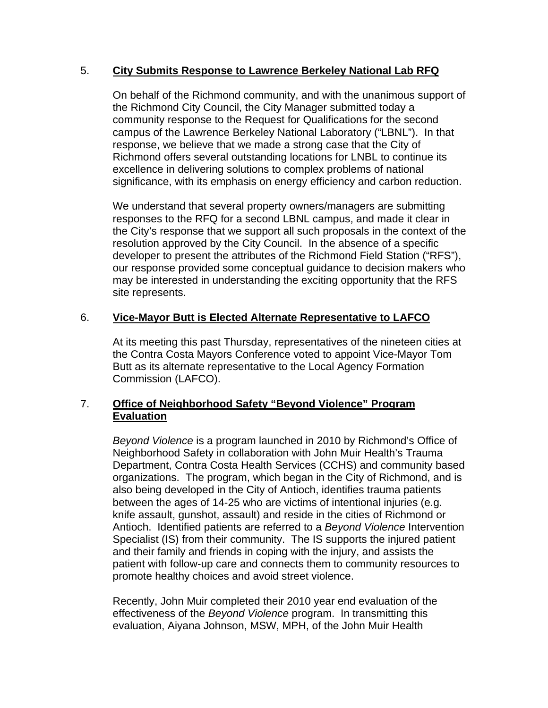## 5. **City Submits Response to Lawrence Berkeley National Lab RFQ**

On behalf of the Richmond community, and with the unanimous support of the Richmond City Council, the City Manager submitted today a community response to the Request for Qualifications for the second campus of the Lawrence Berkeley National Laboratory ("LBNL"). In that response, we believe that we made a strong case that the City of Richmond offers several outstanding locations for LNBL to continue its excellence in delivering solutions to complex problems of national significance, with its emphasis on energy efficiency and carbon reduction.

We understand that several property owners/managers are submitting responses to the RFQ for a second LBNL campus, and made it clear in the City's response that we support all such proposals in the context of the resolution approved by the City Council. In the absence of a specific developer to present the attributes of the Richmond Field Station ("RFS"), our response provided some conceptual guidance to decision makers who may be interested in understanding the exciting opportunity that the RFS site represents.

# 6. **Vice-Mayor Butt is Elected Alternate Representative to LAFCO**

At its meeting this past Thursday, representatives of the nineteen cities at the Contra Costa Mayors Conference voted to appoint Vice-Mayor Tom Butt as its alternate representative to the Local Agency Formation Commission (LAFCO).

# 7. **Office of Neighborhood Safety "Beyond Violence" Program Evaluation**

*Beyond Violence* is a program launched in 2010 by Richmond's Office of Neighborhood Safety in collaboration with John Muir Health's Trauma Department, Contra Costa Health Services (CCHS) and community based organizations. The program, which began in the City of Richmond, and is also being developed in the City of Antioch, identifies trauma patients between the ages of 14-25 who are victims of intentional injuries (e.g. knife assault, gunshot, assault) and reside in the cities of Richmond or Antioch. Identified patients are referred to a *Beyond Violence* Intervention Specialist (IS) from their community. The IS supports the injured patient and their family and friends in coping with the injury, and assists the patient with follow-up care and connects them to community resources to promote healthy choices and avoid street violence.

Recently, John Muir completed their 2010 year end evaluation of the effectiveness of the *Beyond Violence* program. In transmitting this evaluation, Aiyana Johnson, MSW, MPH, of the John Muir Health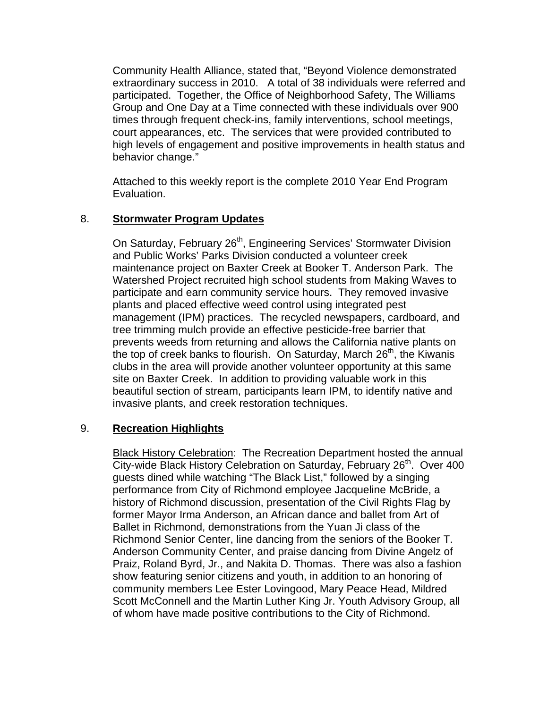Community Health Alliance, stated that, "Beyond Violence demonstrated extraordinary success in 2010. A total of 38 individuals were referred and participated. Together, the Office of Neighborhood Safety, The Williams Group and One Day at a Time connected with these individuals over 900 times through frequent check-ins, family interventions, school meetings, court appearances, etc. The services that were provided contributed to high levels of engagement and positive improvements in health status and behavior change."

Attached to this weekly report is the complete 2010 Year End Program Evaluation.

# 8. **Stormwater Program Updates**

On Saturday, February 26<sup>th</sup>, Engineering Services' Stormwater Division and Public Works' Parks Division conducted a volunteer creek maintenance project on Baxter Creek at Booker T. Anderson Park. The Watershed Project recruited high school students from Making Waves to participate and earn community service hours. They removed invasive plants and placed effective weed control using integrated pest management (IPM) practices. The recycled newspapers, cardboard, and tree trimming mulch provide an effective pesticide-free barrier that prevents weeds from returning and allows the California native plants on the top of creek banks to flourish. On Saturday, March  $26<sup>th</sup>$ , the Kiwanis clubs in the area will provide another volunteer opportunity at this same site on Baxter Creek. In addition to providing valuable work in this beautiful section of stream, participants learn IPM, to identify native and invasive plants, and creek restoration techniques.

## 9. **Recreation Highlights**

**Black History Celebration:** The Recreation Department hosted the annual City-wide Black History Celebration on Saturday, February 26<sup>th</sup>. Over 400 guests dined while watching "The Black List," followed by a singing performance from City of Richmond employee Jacqueline McBride, a history of Richmond discussion, presentation of the Civil Rights Flag by former Mayor Irma Anderson, an African dance and ballet from Art of Ballet in Richmond, demonstrations from the Yuan Ji class of the Richmond Senior Center, line dancing from the seniors of the Booker T. Anderson Community Center, and praise dancing from Divine Angelz of Praiz, Roland Byrd, Jr., and Nakita D. Thomas. There was also a fashion show featuring senior citizens and youth, in addition to an honoring of community members Lee Ester Lovingood, Mary Peace Head, Mildred Scott McConnell and the Martin Luther King Jr. Youth Advisory Group, all of whom have made positive contributions to the City of Richmond.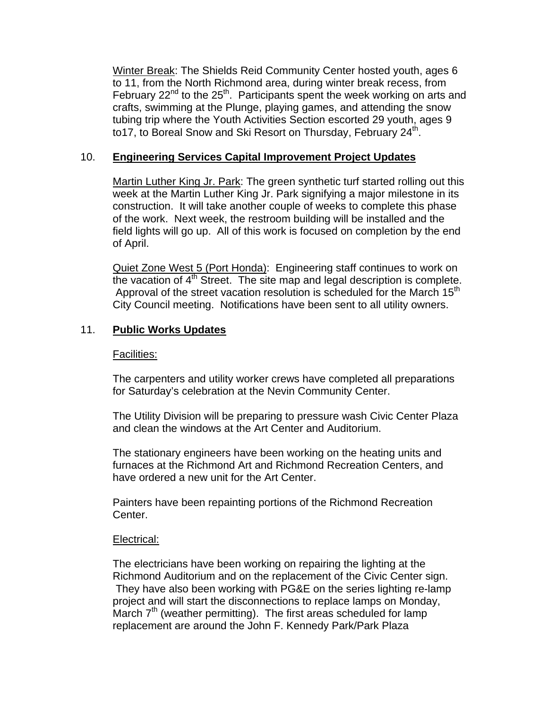Winter Break: The Shields Reid Community Center hosted youth, ages 6 to 11, from the North Richmond area, during winter break recess, from February  $22^{nd}$  to the  $25<sup>th</sup>$ . Participants spent the week working on arts and crafts, swimming at the Plunge, playing games, and attending the snow tubing trip where the Youth Activities Section escorted 29 youth, ages 9 to17, to Boreal Snow and Ski Resort on Thursday, February 24<sup>th</sup>.

## 10. **Engineering Services Capital Improvement Project Updates**

Martin Luther King Jr. Park: The green synthetic turf started rolling out this week at the Martin Luther King Jr. Park signifying a major milestone in its construction. It will take another couple of weeks to complete this phase of the work. Next week, the restroom building will be installed and the field lights will go up. All of this work is focused on completion by the end of April.

Quiet Zone West 5 (Port Honda): Engineering staff continues to work on the vacation of  $4<sup>th</sup>$  Street. The site map and legal description is complete. Approval of the street vacation resolution is scheduled for the March  $15<sup>th</sup>$ City Council meeting. Notifications have been sent to all utility owners.

# 11. **Public Works Updates**

### Facilities:

The carpenters and utility worker crews have completed all preparations for Saturday's celebration at the Nevin Community Center.

The Utility Division will be preparing to pressure wash Civic Center Plaza and clean the windows at the Art Center and Auditorium.

The stationary engineers have been working on the heating units and furnaces at the Richmond Art and Richmond Recreation Centers, and have ordered a new unit for the Art Center.

Painters have been repainting portions of the Richmond Recreation Center.

### Electrical:

The electricians have been working on repairing the lighting at the Richmond Auditorium and on the replacement of the Civic Center sign. They have also been working with PG&E on the series lighting re-lamp project and will start the disconnections to replace lamps on Monday, March 7<sup>th</sup> (weather permitting). The first areas scheduled for lamp replacement are around the John F. Kennedy Park/Park Plaza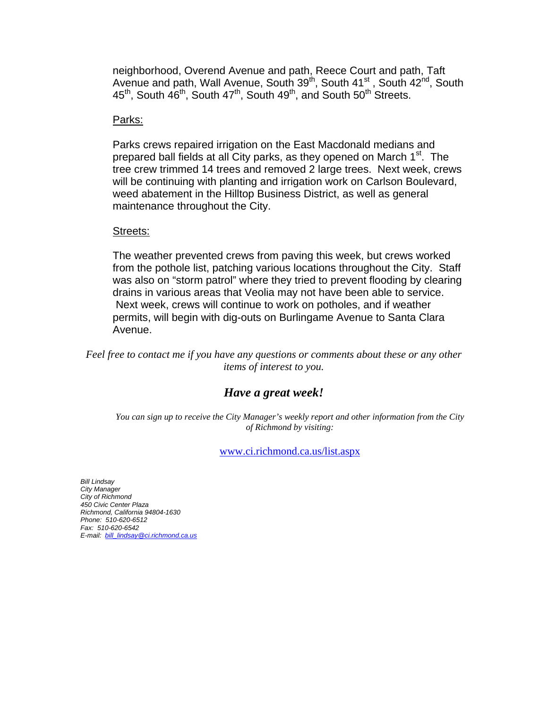neighborhood, Overend Avenue and path, Reece Court and path, Taft Avenue and path, Wall Avenue, South 39<sup>th</sup>, South 41<sup>st</sup>, South 42<sup>nd</sup>, South 45<sup>th</sup>, South 46<sup>th</sup>, South 47<sup>th</sup>, South 49<sup>th</sup>, and South 50<sup>th</sup> Streets.

### Parks:

Parks crews repaired irrigation on the East Macdonald medians and prepared ball fields at all City parks, as they opened on March 1<sup>st</sup>. The tree crew trimmed 14 trees and removed 2 large trees. Next week, crews will be continuing with planting and irrigation work on Carlson Boulevard, weed abatement in the Hilltop Business District, as well as general maintenance throughout the City.

### Streets:

The weather prevented crews from paving this week, but crews worked from the pothole list, patching various locations throughout the City. Staff was also on "storm patrol" where they tried to prevent flooding by clearing drains in various areas that Veolia may not have been able to service. Next week, crews will continue to work on potholes, and if weather permits, will begin with dig-outs on Burlingame Avenue to Santa Clara Avenue.

*Feel free to contact me if you have any questions or comments about these or any other items of interest to you.* 

# *Have a great week!*

*You can sign up to receive the City Manager's weekly report and other information from the City of Richmond by visiting:* 

[www.ci.richmond.ca.us/list.aspx](http://www.ci.richmond.ca.us/list.aspx)

*Bill Lindsay City Manager City of Richmond 450 Civic Center Plaza Richmond, California 94804-1630 Phone: 510-620-65 21 Fax: 510-620-6542 E-mail: [bill\\_lindsay@ci.richmond.ca.us](mailto:bill_lindsay@ci.richmond.ca.us)*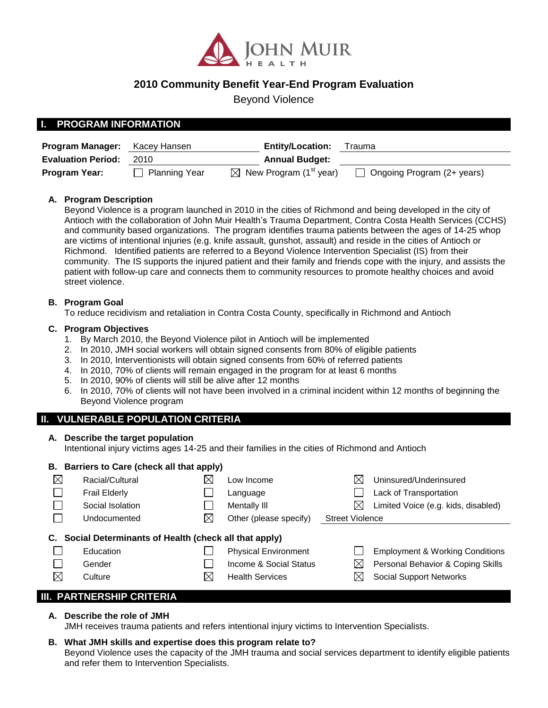

# **2010 Community Benefit Year-End Program Evaluation**

Beyond Violence

### **I. PROGRAM INFORMATION**

| <b>Program Manager:</b>   | Kacey Hansen  | <b>Entity/Location:</b>                        | Trauma                     |
|---------------------------|---------------|------------------------------------------------|----------------------------|
| <b>Evaluation Period:</b> | 2010          | <b>Annual Budget:</b>                          |                            |
| <b>Program Year:</b>      | Planning Year | $\boxtimes$ New Program (1 <sup>st</sup> year) | Ongoing Program (2+ years) |

#### **A. Program Description**

Beyond Violence is a program launched in 2010 in the cities of Richmond and being developed in the city of Antioch with the collaboration of John Muir Health's Trauma Department, Contra Costa Health Services (CCHS) and community based organizations. The program identifies trauma patients between the ages of 14-25 whop are victims of intentional injuries (e.g. knife assault, gunshot, assault) and reside in the cities of Antioch or Richmond. Identified patients are referred to a Beyond Violence Intervention Specialist (IS) from their community. The IS supports the injured patient and their family and friends cope with the injury, and assists the patient with follow-up care and connects them to community resources to promote healthy choices and avoid street violence.

#### **B. Program Goal**

To reduce recidivism and retaliation in Contra Costa County, specifically in Richmond and Antioch

#### **C. Program Objectives**

- 1. By March 2010, the Beyond Violence pilot in Antioch will be implemented
- 2. In 2010, JMH social workers will obtain signed consents from 80% of eligible patients
- 3. In 2010, Interventionists will obtain signed consents from 60% of referred patients
- 4. In 2010, 70% of clients will remain engaged in the program for at least 6 months
- 5. In 2010, 90% of clients will still be alive after 12 months
- 6. In 2010, 70% of clients will not have been involved in a criminal incident within 12 months of beginning the Beyond Violence program

### **II. VULNERABLE POPULATION CRITERIA**

#### **A. Describe the target population**

Intentional injury victims ages 14-25 and their families in the cities of Richmond and Antioch

|             | B. Barriers to Care (check all that apply)           |             |                             |                        |                                            |  |  |  |  |
|-------------|------------------------------------------------------|-------------|-----------------------------|------------------------|--------------------------------------------|--|--|--|--|
| $\boxtimes$ | Racial/Cultural                                      | $\boxtimes$ | Low Income                  | X                      | Uninsured/Underinsured                     |  |  |  |  |
|             | <b>Frail Elderly</b>                                 |             | Language                    |                        | Lack of Transportation                     |  |  |  |  |
|             | Social Isolation                                     |             | Mentally III                | ⊠                      | Limited Voice (e.g. kids, disabled)        |  |  |  |  |
|             | Undocumented                                         | $\boxtimes$ | Other (please specify)      | <b>Street Violence</b> |                                            |  |  |  |  |
| C.          | Social Determinants of Health (check all that apply) |             |                             |                        |                                            |  |  |  |  |
|             | Education                                            |             | <b>Physical Environment</b> |                        | <b>Employment &amp; Working Conditions</b> |  |  |  |  |
|             | Gender                                               |             | Income & Social Status      | $\boxtimes$            | Personal Behavior & Coping Skills          |  |  |  |  |
| $\boxtimes$ | Culture                                              | ⊠           | <b>Health Services</b>      | ⋉                      | <b>Social Support Networks</b>             |  |  |  |  |
|             |                                                      |             |                             |                        |                                            |  |  |  |  |

### **III. PARTNERSHIP CRITERIA**

#### **A. Describe the role of JMH**

JMH receives trauma patients and refers intentional injury victims to Intervention Specialists.

### **B. What JMH skills and expertise does this program relate to?**

Beyond Violence uses the capacity of the JMH trauma and social services department to identify eligible patients and refer them to Intervention Specialists.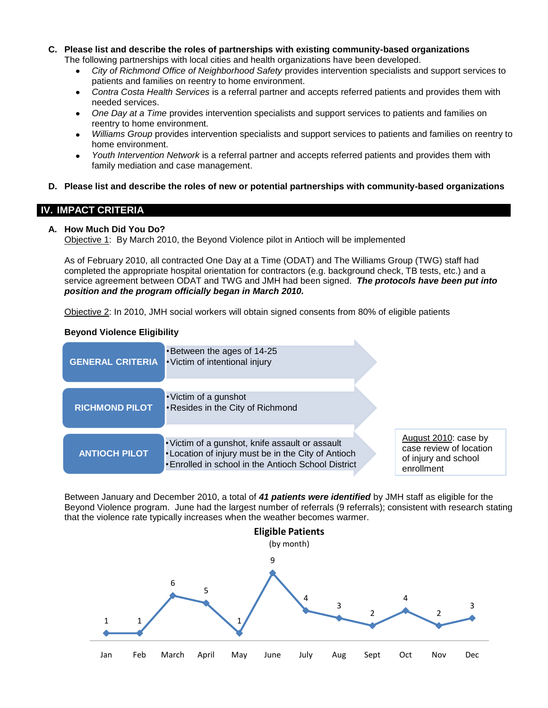- **C. Please list and describe the roles of partnerships with existing community-based organizations** The following partnerships with local cities and health organizations have been developed.
	- *City of Richmond Office of Neighborhood Safety* provides intervention specialists and support services to  $\bullet$ patients and families on reentry to home environment.
	- $\bullet$ *Contra Costa Health Services* is a referral partner and accepts referred patients and provides them with needed services.
	- *One Day at a Time* provides intervention specialists and support services to patients and families on  $\bullet$ reentry to home environment.
	- *Williams Group* provides intervention specialists and support services to patients and families on reentry to home environment.
	- $\bullet$ *Youth Intervention Network* is a referral partner and accepts referred patients and provides them with family mediation and case management.
- **D. Please list and describe the roles of new or potential partnerships with community-based organizations**

### **IV. IMPACT CRITERIA**

### **A. How Much Did You Do?**

Objective 1: By March 2010, the Beyond Violence pilot in Antioch will be implemented

As of February 2010, all contracted One Day at a Time (ODAT) and The Williams Group (TWG) staff had completed the appropriate hospital orientation for contractors (e.g. background check, TB tests, etc.) and a service agreement between ODAT and TWG and JMH had been signed. *The protocols have been put into position and the program officially began in March 2010.* 

Objective 2: In 2010, JMH social workers will obtain signed consents from 80% of eligible patients

#### **Beyond Violence Eligibility**

| <b>GENERAL CRITERIA</b> | •Between the ages of 14-25<br>• Victim of intentional injury                                                                                                         |                                                                                       |
|-------------------------|----------------------------------------------------------------------------------------------------------------------------------------------------------------------|---------------------------------------------------------------------------------------|
| <b>RICHMOND PILOT</b>   | • Victim of a gunshot<br>•Resides in the City of Richmond                                                                                                            |                                                                                       |
| <b>ANTIOCH PILOT</b>    | • Victim of a gunshot, knife assault or assault<br>• Location of injury must be in the City of Antioch<br><b>.</b> Enrolled in school in the Antioch School District | August 2010: case by<br>case review of location<br>of injury and school<br>enrollment |

Between January and December 2010, a total of *41 patients were identified* by JMH staff as eligible for the Beyond Violence program. June had the largest number of referrals (9 referrals); consistent with research stating that the violence rate typically increases when the weather becomes warmer.

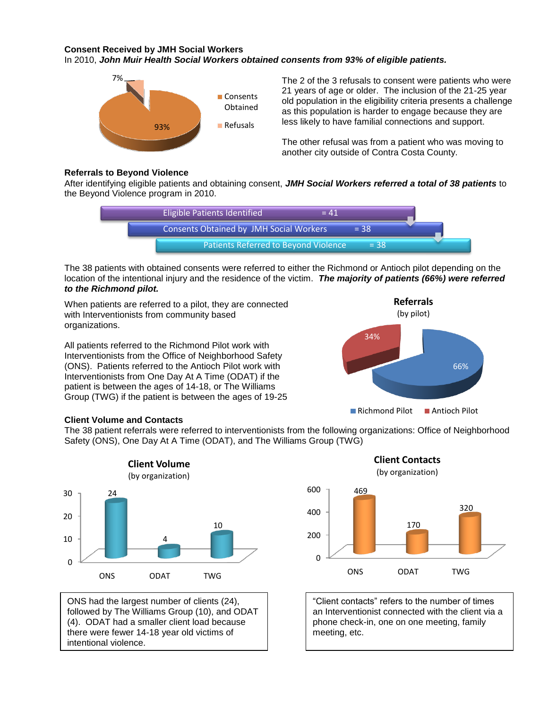#### **Consent Received by JMH Social Workers** In 2010, *John Muir Health Social Workers obtained consents from 93% of eligible patients.*



The 2 of the 3 refusals to consent were patients who were 21 years of age or older. The inclusion of the 21-25 year old population in the eligibility criteria presents a challenge as this population is harder to engage because they are less likely to have familial connections and support.

The other refusal was from a patient who was moving to another city outside of Contra Costa County.

#### **Referrals to Beyond Violence**

After identifying eligible patients and obtaining consent, *JMH Social Workers referred a total of 38 patients* to the Beyond Violence program in 2010.



The 38 patients with obtained consents were referred to either the Richmond or Antioch pilot depending on the location of the intentional injury and the residence of the victim. *The majority of patients (66%) were referred to the Richmond pilot.* 

When patients are referred to a pilot, they are connected with Interventionists from community based organizations.

All patients referred to the Richmond Pilot work with Interventionists from the Office of Neighborhood Safety (ONS). Patients referred to the Antioch Pilot work with Interventionists from One Day At A Time (ODAT) if the patient is between the ages of 14-18, or The Williams Group (TWG) if the patient is between the ages of 19-25



#### **Client Volume and Contacts**

The 38 patient referrals were referred to interventionists from the following organizations: Office of Neighborhood Safety (ONS), One Day At A Time (ODAT), and The Williams Group (TWG)



ONS had the largest number of clients (24), followed by The Williams Group (10), and ODAT (4). ODAT had a smaller client load because there were fewer 14-18 year old victims of intentional violence.



"Client contacts" refers to the number of times an Interventionist connected with the client via a phone check-in, one on one meeting, family meeting, etc.

ONS ODAT TWG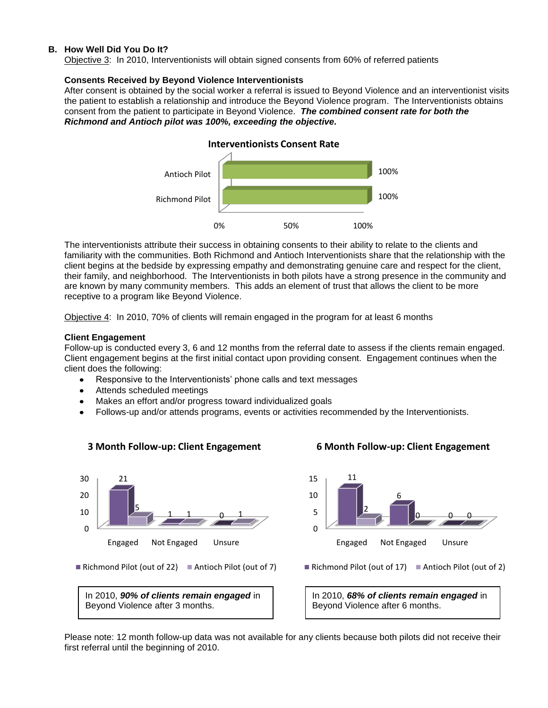#### **B. How Well Did You Do It?**

Objective 3: In 2010, Interventionists will obtain signed consents from 60% of referred patients

#### **Consents Received by Beyond Violence Interventionists**

After consent is obtained by the social worker a referral is issued to Beyond Violence and an interventionist visits the patient to establish a relationship and introduce the Beyond Violence program. The Interventionists obtains consent from the patient to participate in Beyond Violence. *The combined consent rate for both the Richmond and Antioch pilot was 100%, exceeding the objective.*



The interventionists attribute their success in obtaining consents to their ability to relate to the clients and familiarity with the communities. Both Richmond and Antioch Interventionists share that the relationship with the client begins at the bedside by expressing empathy and demonstrating genuine care and respect for the client, their family, and neighborhood. The Interventionists in both pilots have a strong presence in the community and are known by many community members. This adds an element of trust that allows the client to be more receptive to a program like Beyond Violence.

Objective 4: In 2010, 70% of clients will remain engaged in the program for at least 6 months

#### **Client Engagement**

Follow-up is conducted every 3, 6 and 12 months from the referral date to assess if the clients remain engaged. Client engagement begins at the first initial contact upon providing consent. Engagement continues when the client does the following:

- Responsive to the Interventionists' phone calls and text messages
- Attends scheduled meetings  $\bullet$
- Makes an effort and/or progress toward individualized goals

**3 Month Follow-up: Client Engagement**

Follows-up and/or attends programs, events or activities recommended by the Interventionists.



Please note: 12 month follow-up data was not available for any clients because both pilots did not receive their first referral until the beginning of 2010.

### **6 Month Follow-up: Client Engagement**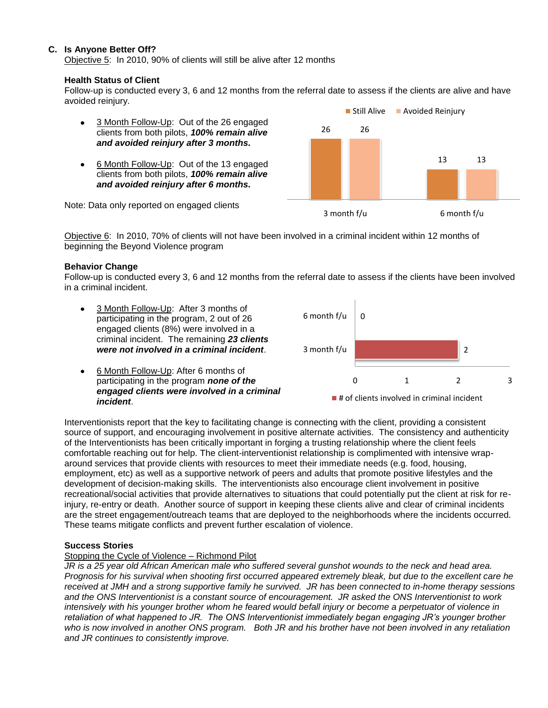#### **C. Is Anyone Better Off?**

Objective 5: In 2010, 90% of clients will still be alive after 12 months

#### **Health Status of Client**

Follow-up is conducted every 3, 6 and 12 months from the referral date to assess if the clients are alive and have avoided reinjury.

- 3 Month Follow-Up: Out of the 26 engaged clients from both pilots, *100% remain alive and avoided reinjury after 3 months.*
- 6 Month Follow-Up: Out of the 13 engaged clients from both pilots, *100% remain alive and avoided reinjury after 6 months.*



Note: Data only reported on engaged clients

Objective 6: In 2010, 70% of clients will not have been involved in a criminal incident within 12 months of beginning the Beyond Violence program

#### **Behavior Change**

*incident*.

Follow-up is conducted every 3, 6 and 12 months from the referral date to assess if the clients have been involved in a criminal incident.





Interventionists report that the key to facilitating change is connecting with the client, providing a consistent source of support, and encouraging involvement in positive alternate activities. The consistency and authenticity of the Interventionists has been critically important in forging a trusting relationship where the client feels comfortable reaching out for help. The client-interventionist relationship is complimented with intensive wraparound services that provide clients with resources to meet their immediate needs (e.g. food, housing, employment, etc) as well as a supportive network of peers and adults that promote positive lifestyles and the development of decision-making skills. The interventionists also encourage client involvement in positive recreational/social activities that provide alternatives to situations that could potentially put the client at risk for reinjury, re-entry or death. Another source of support in keeping these clients alive and clear of criminal incidents are the street engagement/outreach teams that are deployed to the neighborhoods where the incidents occurred. These teams mitigate conflicts and prevent further escalation of violence.

### **Success Stories**

### Stopping the Cycle of Violence – Richmond Pilot

*JR is a 25 year old African American male who suffered several gunshot wounds to the neck and head area. Prognosis for his survival when shooting first occurred appeared extremely bleak, but due to the excellent care he received at JMH and a strong supportive family he survived. JR has been connected to in-home therapy sessions and the ONS Interventionist is a constant source of encouragement. JR asked the ONS Interventionist to work intensively with his younger brother whom he feared would befall injury or become a perpetuator of violence in retaliation of what happened to JR. The ONS Interventionist immediately began engaging JR's younger brother who is now involved in another ONS program. Both JR and his brother have not been involved in any retaliation and JR continues to consistently improve.*